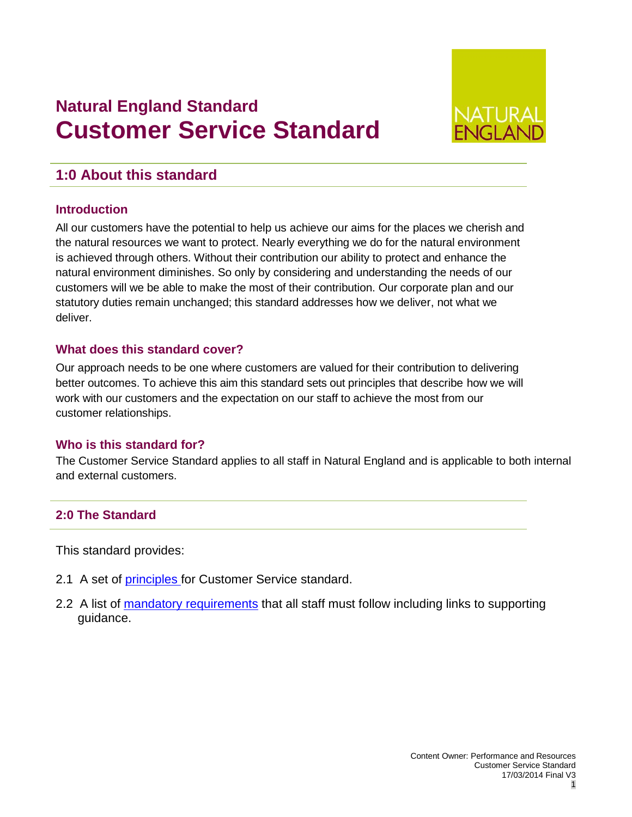# **Natural England Standard Customer Service Standard**



## **1:0 About this standard**

#### **Introduction**

All our customers have the potential to help us achieve our aims for the places we cherish and the natural resources we want to protect. Nearly everything we do for the natural environment is achieved through others. Without their contribution our ability to protect and enhance the natural environment diminishes. So only by considering and understanding the needs of our customers will we be able to make the most of their contribution. Our corporate plan and our statutory duties remain unchanged; this standard addresses how we deliver, not what we deliver.

#### **What does this standard cover?**

Our approach needs to be one where customers are valued for their contribution to delivering better outcomes. To achieve this aim this standard sets out principles that describe how we will work with our customers and the expectation on our staff to achieve the most from our customer relationships.

#### **Who is this standard for?**

The Customer Service Standard applies to all staff in Natural England and is applicable to both internal and external customers.

### **2:0 The Standard**

This standard provides:

- 2.1 A set of [principles f](#page-1-0)or Customer Service standard.
- 2.2 A list of [mandatory requirements](#page-2-0) that all staff must follow including links to supporting guidance.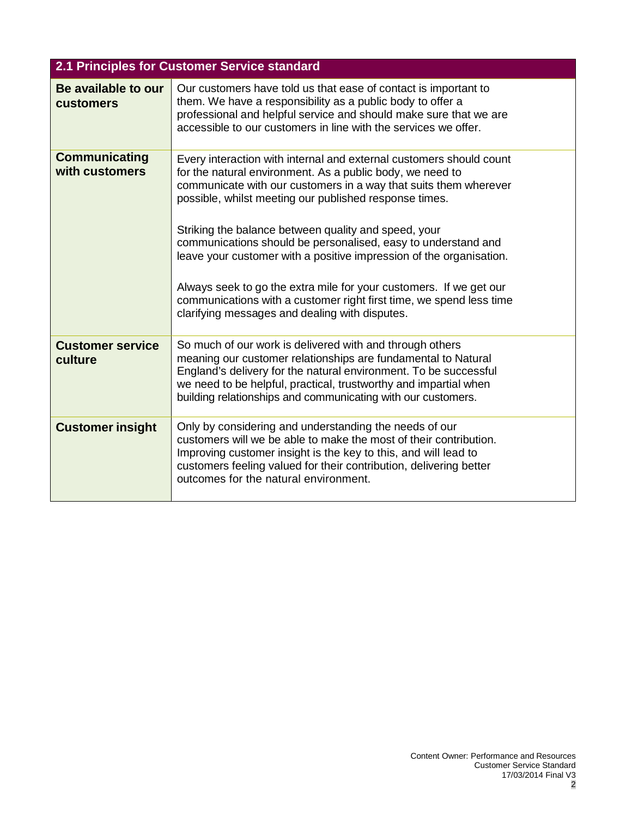<span id="page-1-0"></span>

| 2.1 Principles for Customer Service standard |                                                                                                                                                                                                                                                                                                                                                                                                                                                                                                                                                                                                                                                               |  |  |  |  |
|----------------------------------------------|---------------------------------------------------------------------------------------------------------------------------------------------------------------------------------------------------------------------------------------------------------------------------------------------------------------------------------------------------------------------------------------------------------------------------------------------------------------------------------------------------------------------------------------------------------------------------------------------------------------------------------------------------------------|--|--|--|--|
| Be available to our<br><b>customers</b>      | Our customers have told us that ease of contact is important to<br>them. We have a responsibility as a public body to offer a<br>professional and helpful service and should make sure that we are<br>accessible to our customers in line with the services we offer.                                                                                                                                                                                                                                                                                                                                                                                         |  |  |  |  |
| <b>Communicating</b><br>with customers       | Every interaction with internal and external customers should count<br>for the natural environment. As a public body, we need to<br>communicate with our customers in a way that suits them wherever<br>possible, whilst meeting our published response times.<br>Striking the balance between quality and speed, your<br>communications should be personalised, easy to understand and<br>leave your customer with a positive impression of the organisation.<br>Always seek to go the extra mile for your customers. If we get our<br>communications with a customer right first time, we spend less time<br>clarifying messages and dealing with disputes. |  |  |  |  |
| <b>Customer service</b><br>culture           | So much of our work is delivered with and through others<br>meaning our customer relationships are fundamental to Natural<br>England's delivery for the natural environment. To be successful<br>we need to be helpful, practical, trustworthy and impartial when<br>building relationships and communicating with our customers.                                                                                                                                                                                                                                                                                                                             |  |  |  |  |
| <b>Customer insight</b>                      | Only by considering and understanding the needs of our<br>customers will we be able to make the most of their contribution.<br>Improving customer insight is the key to this, and will lead to<br>customers feeling valued for their contribution, delivering better<br>outcomes for the natural environment.                                                                                                                                                                                                                                                                                                                                                 |  |  |  |  |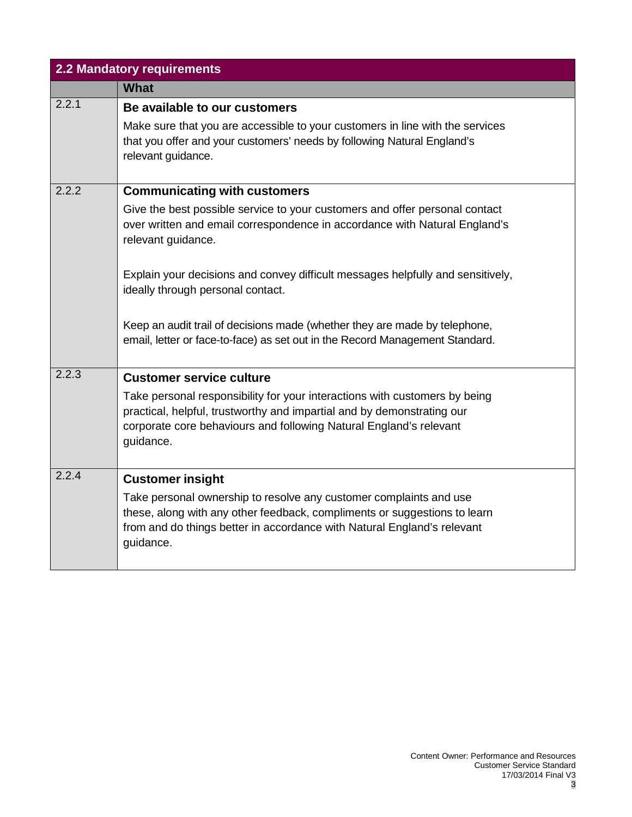<span id="page-2-0"></span>

| 2.2 Mandatory requirements |                                                                                                                                                                                                                                         |  |  |  |
|----------------------------|-----------------------------------------------------------------------------------------------------------------------------------------------------------------------------------------------------------------------------------------|--|--|--|
|                            | <b>What</b>                                                                                                                                                                                                                             |  |  |  |
| 2.2.1                      | Be available to our customers                                                                                                                                                                                                           |  |  |  |
|                            | Make sure that you are accessible to your customers in line with the services<br>that you offer and your customers' needs by following Natural England's<br>relevant guidance.                                                          |  |  |  |
| 2.2.2                      | <b>Communicating with customers</b>                                                                                                                                                                                                     |  |  |  |
|                            | Give the best possible service to your customers and offer personal contact<br>over written and email correspondence in accordance with Natural England's<br>relevant guidance.                                                         |  |  |  |
|                            | Explain your decisions and convey difficult messages helpfully and sensitively,<br>ideally through personal contact.                                                                                                                    |  |  |  |
|                            | Keep an audit trail of decisions made (whether they are made by telephone,<br>email, letter or face-to-face) as set out in the Record Management Standard.                                                                              |  |  |  |
| 2.2.3                      | <b>Customer service culture</b>                                                                                                                                                                                                         |  |  |  |
|                            | Take personal responsibility for your interactions with customers by being<br>practical, helpful, trustworthy and impartial and by demonstrating our<br>corporate core behaviours and following Natural England's relevant<br>guidance. |  |  |  |
| 2.2.4                      | <b>Customer insight</b>                                                                                                                                                                                                                 |  |  |  |
|                            | Take personal ownership to resolve any customer complaints and use<br>these, along with any other feedback, compliments or suggestions to learn<br>from and do things better in accordance with Natural England's relevant<br>guidance. |  |  |  |